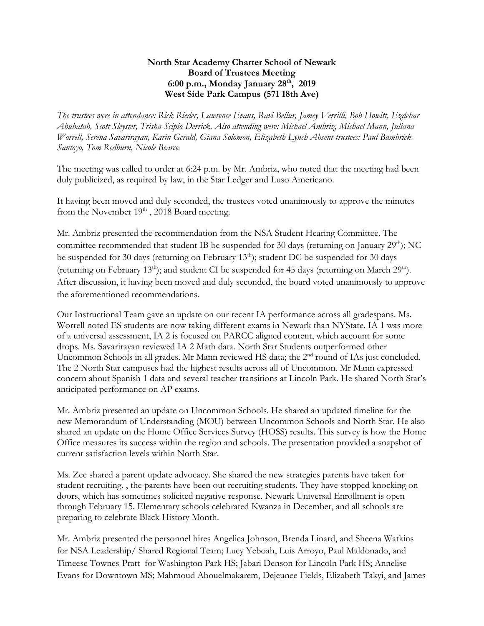## **North Star Academy Charter School of Newark Board of Trustees Meeting 6:00 p.m., Monday January 28th , 2019 West Side Park Campus (571 18th Ave)**

*The trustees were in attendance: Rick Rieder, Lawrence Evans, Ravi Bellur, Jamey Verrilli, Bob Howitt, Ezdehar Abuhatab, Scott Sleyster, Trisha Scipio-Derrick, Also attending were: Michael Ambriz, Michael Mann, Juliana Worrell, Serena Savarirayan, Karin Gerald, Giana Solomon, Elizabeth Lynch Absent trustees: Paul Bambrick-Santoyo, Tom Redburn, Nicole Bearce.*

The meeting was called to order at 6:24 p.m. by Mr. Ambriz, who noted that the meeting had been duly publicized, as required by law, in the Star Ledger and Luso Americano.

It having been moved and duly seconded, the trustees voted unanimously to approve the minutes from the November  $19<sup>th</sup>$ , 2018 Board meeting.

Mr. Ambriz presented the recommendation from the NSA Student Hearing Committee. The committee recommended that student IB be suspended for 30 days (returning on January  $29<sup>th</sup>$ ); NC be suspended for 30 days (returning on February  $13<sup>th</sup>$ ); student DC be suspended for 30 days (returning on February 13<sup>th</sup>); and student CI be suspended for 45 days (returning on March 29<sup>th</sup>). After discussion, it having been moved and duly seconded, the board voted unanimously to approve the aforementioned recommendations.

Our Instructional Team gave an update on our recent IA performance across all gradespans. Ms. Worrell noted ES students are now taking different exams in Newark than NYState. IA 1 was more of a universal assessment, IA 2 is focused on PARCC aligned content, which account for some drops. Ms. Savarirayan reviewed IA 2 Math data. North Star Students outperformed other Uncommon Schools in all grades. Mr Mann reviewed HS data; the 2<sup>nd</sup> round of IAs just concluded. The 2 North Star campuses had the highest results across all of Uncommon. Mr Mann expressed concern about Spanish 1 data and several teacher transitions at Lincoln Park. He shared North Star's anticipated performance on AP exams.

Mr. Ambriz presented an update on Uncommon Schools. He shared an updated timeline for the new Memorandum of Understanding (MOU) between Uncommon Schools and North Star. He also shared an update on the Home Office Services Survey (HOSS) results. This survey is how the Home Office measures its success within the region and schools. The presentation provided a snapshot of current satisfaction levels within North Star.

Ms. Zee shared a parent update advocacy. She shared the new strategies parents have taken for student recruiting. , the parents have been out recruiting students. They have stopped knocking on doors, which has sometimes solicited negative response. Newark Universal Enrollment is open through February 15. Elementary schools celebrated Kwanza in December, and all schools are preparing to celebrate Black History Month.

Mr. Ambriz presented the personnel hires Angelica Johnson, Brenda Linard, and Sheena Watkins for NSA Leadership/ Shared Regional Team; Lucy Yeboah, Luis Arroyo, Paul Maldonado, and Timeese Townes-Pratt for Washington Park HS; Jabari Denson for Lincoln Park HS; Annelise Evans for Downtown MS; Mahmoud Abouelmakarem, Dejeunee Fields, Elizabeth Takyi, and James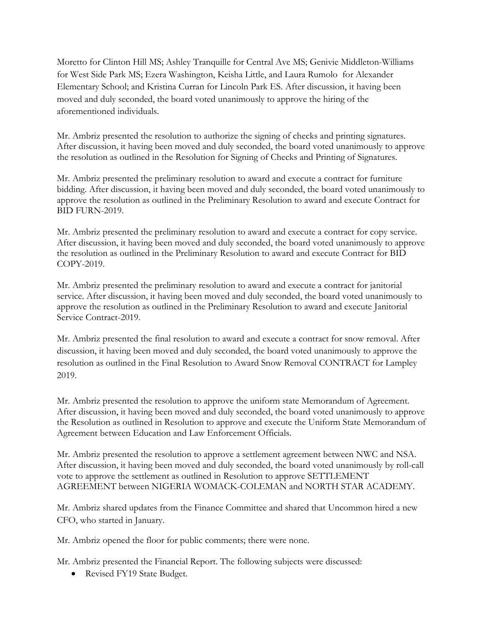Moretto for Clinton Hill MS; Ashley Tranquille for Central Ave MS; Genivie Middleton-Williams for West Side Park MS; Ezera Washington, Keisha Little, and Laura Rumolo for Alexander Elementary School; and Kristina Curran for Lincoln Park ES. After discussion, it having been moved and duly seconded, the board voted unanimously to approve the hiring of the aforementioned individuals.

Mr. Ambriz presented the resolution to authorize the signing of checks and printing signatures. After discussion, it having been moved and duly seconded, the board voted unanimously to approve the resolution as outlined in the Resolution for Signing of Checks and Printing of Signatures.

Mr. Ambriz presented the preliminary resolution to award and execute a contract for furniture bidding. After discussion, it having been moved and duly seconded, the board voted unanimously to approve the resolution as outlined in the Preliminary Resolution to award and execute Contract for BID FURN-2019.

Mr. Ambriz presented the preliminary resolution to award and execute a contract for copy service. After discussion, it having been moved and duly seconded, the board voted unanimously to approve the resolution as outlined in the Preliminary Resolution to award and execute Contract for BID COPY-2019.

Mr. Ambriz presented the preliminary resolution to award and execute a contract for janitorial service. After discussion, it having been moved and duly seconded, the board voted unanimously to approve the resolution as outlined in the Preliminary Resolution to award and execute Janitorial Service Contract-2019.

Mr. Ambriz presented the final resolution to award and execute a contract for snow removal. After discussion, it having been moved and duly seconded, the board voted unanimously to approve the resolution as outlined in the Final Resolution to Award Snow Removal CONTRACT for Lampley 2019.

Mr. Ambriz presented the resolution to approve the uniform state Memorandum of Agreement. After discussion, it having been moved and duly seconded, the board voted unanimously to approve the Resolution as outlined in Resolution to approve and execute the Uniform State Memorandum of Agreement between Education and Law Enforcement Officials.

Mr. Ambriz presented the resolution to approve a settlement agreement between NWC and NSA. After discussion, it having been moved and duly seconded, the board voted unanimously by roll-call vote to approve the settlement as outlined in Resolution to approve SETTLEMENT AGREEMENT between NIGERIA WOMACK-COLEMAN and NORTH STAR ACADEMY.

Mr. Ambriz shared updates from the Finance Committee and shared that Uncommon hired a new CFO, who started in January.

Mr. Ambriz opened the floor for public comments; there were none.

Mr. Ambriz presented the Financial Report. The following subjects were discussed:

• Revised FY19 State Budget.